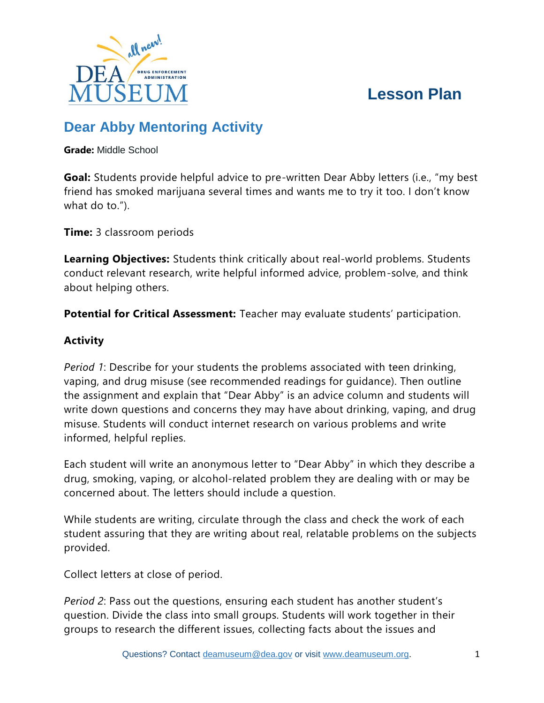# **Lesson Plan**



# **Dear Abby Mentoring Activity**

**Grade:** Middle School

**Goal:** Students provide helpful advice to pre-written Dear Abby letters (i.e., "my best friend has smoked marijuana several times and wants me to try it too. I don't know what do to.").

**Time:** 3 classroom periods

**Learning Objectives:** Students think critically about real-world problems. Students conduct relevant research, write helpful informed advice, problem-solve, and think about helping others.

**Potential for Critical Assessment:** Teacher may evaluate students' participation.

# **Activity**

*Period 1*: Describe for your students the problems associated with teen drinking, vaping, and drug misuse (see recommended readings for guidance). Then outline the assignment and explain that "Dear Abby" is an advice column and students will write down questions and concerns they may have about drinking, vaping, and drug misuse. Students will conduct internet research on various problems and write informed, helpful replies.

Each student will write an anonymous letter to "Dear Abby" in which they describe a drug, smoking, vaping, or alcohol-related problem they are dealing with or may be concerned about. The letters should include a question.

While students are writing, circulate through the class and check the work of each student assuring that they are writing about real, relatable problems on the subjects provided.

Collect letters at close of period.

*Period 2*: Pass out the questions, ensuring each student has another student's question. Divide the class into small groups. Students will work together in their groups to research the different issues, collecting facts about the issues and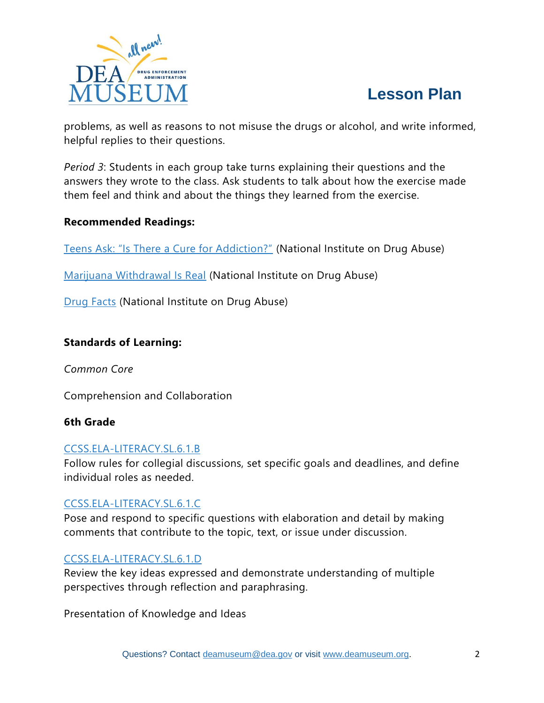



problems, as well as reasons to not misuse the drugs or alcohol, and write informed, helpful replies to their questions.

*Period 3*: Students in each group take turns explaining their questions and the answers they wrote to the class. Ask students to talk about how the exercise made them feel and think and about the things they learned from the exercise.

### **Recommended Readings:**

[Teens Ask: "Is There a Cure for Addiction?"](https://teens.drugabuse.gov/blog/post/teens-ask-there-cure-addiction) (National Institute on Drug Abuse)

[Marijuana Withdrawal Is Real](https://teens.drugabuse.gov/blog/post/marijuana-withdrawal-real-0) (National Institute on Drug Abuse)

[Drug Facts](https://teens.drugabuse.gov/teens/drug-facts) (National Institute on Drug Abuse)

#### **Standards of Learning:**

*Common Core*

Comprehension and Collaboration

#### **6th Grade**

### [CCSS.ELA-LITERACY.SL.6.1.B](https://protect2.fireeye.com/v1/url?k=2013c9ef-7f88f05c-2014ed0a-0cc47adc5e1a-9024253c9b8b188f&q=1&e=4783db6d-3a93-4e65-9f53-85003e4f5e8a&u=http%3A%2F%2Fwww.corestandards.org%2FELA-Literacy%2FSL%2F6%2F1%2Fb%2F)

Follow rules for collegial discussions, set specific goals and deadlines, and define individual roles as needed.

### [CCSS.ELA-LITERACY.SL.6.1.C](https://protect2.fireeye.com/v1/url?k=1634eda9-49afd41a-1633c94c-0cc47adc5e1a-08a1b523b6353f4c&q=1&e=4783db6d-3a93-4e65-9f53-85003e4f5e8a&u=http%3A%2F%2Fwww.corestandards.org%2FELA-Literacy%2FSL%2F6%2F1%2Fc%2F)

Pose and respond to specific questions with elaboration and detail by making comments that contribute to the topic, text, or issue under discussion.

#### [CCSS.ELA-LITERACY.SL.6.1.D](https://protect2.fireeye.com/v1/url?k=6bb1f424-342acd97-6bb6d0c1-0cc47adc5e1a-8cb90138a6df32d2&q=1&e=4783db6d-3a93-4e65-9f53-85003e4f5e8a&u=http%3A%2F%2Fwww.corestandards.org%2FELA-Literacy%2FSL%2F6%2F1%2Fd%2F)

Review the key ideas expressed and demonstrate understanding of multiple perspectives through reflection and paraphrasing.

Presentation of Knowledge and Ideas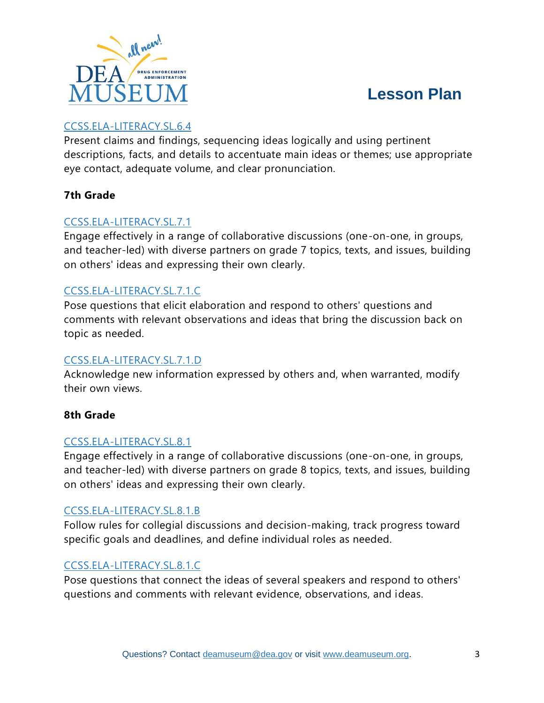

# **Lesson Plan**

# [CCSS.ELA-LITERACY.SL.6.4](https://protect2.fireeye.com/v1/url?k=4c1c6542-13875cf1-4c1b41a7-0cc47adc5e1a-f936e6caf1fb8356&q=1&e=4783db6d-3a93-4e65-9f53-85003e4f5e8a&u=http%3A%2F%2Fwww.corestandards.org%2FELA-Literacy%2FSL%2F6%2F4%2F)

Present claims and findings, sequencing ideas logically and using pertinent descriptions, facts, and details to accentuate main ideas or themes; use appropriate eye contact, adequate volume, and clear pronunciation.

### **7th Grade**

## [CCSS.ELA-LITERACY.SL.7.1](https://protect2.fireeye.com/v1/url?k=fb2e8c9e-a4b5b52d-fb29a87b-0cc47adc5e1a-37193dcfc237453e&q=1&e=4783db6d-3a93-4e65-9f53-85003e4f5e8a&u=http%3A%2F%2Fwww.corestandards.org%2FELA-Literacy%2FSL%2F7%2F1%2F)

Engage effectively in a range of collaborative discussions (one-on-one, in groups, and teacher-led) with diverse partners on grade 7 topics, texts, and issues, building on others' ideas and expressing their own clearly.

### [CCSS.ELA-LITERACY.SL.7.1.C](https://protect2.fireeye.com/v1/url?k=7cee7ea3-23754710-7ce95a46-0cc47adc5e1a-a8ac004affe8bd8f&q=1&e=4783db6d-3a93-4e65-9f53-85003e4f5e8a&u=http%3A%2F%2Fwww.corestandards.org%2FELA-Literacy%2FSL%2F7%2F1%2Fc%2F)

Pose questions that elicit elaboration and respond to others' questions and comments with relevant observations and ideas that bring the discussion back on topic as needed.

## [CCSS.ELA-LITERACY.SL.7.1.D](https://protect2.fireeye.com/v1/url?k=03c92394-5c521a27-03ce0771-0cc47adc5e1a-b703b14d9dd77704&q=1&e=4783db6d-3a93-4e65-9f53-85003e4f5e8a&u=http%3A%2F%2Fwww.corestandards.org%2FELA-Literacy%2FSL%2F7%2F1%2Fd%2F)

Acknowledge new information expressed by others and, when warranted, modify their own views.

### **8th Grade**

### [CCSS.ELA-LITERACY.SL.8.1](https://protect2.fireeye.com/v1/url?k=30144971-6f8f70c2-30136d94-0cc47adc5e1a-6221c24064738b11&q=1&e=4783db6d-3a93-4e65-9f53-85003e4f5e8a&u=http%3A%2F%2Fwww.corestandards.org%2FELA-Literacy%2FSL%2F8%2F1%2F)

Engage effectively in a range of collaborative discussions (one-on-one, in groups, and teacher-led) with diverse partners on grade 8 topics, texts, and issues, building on others' ideas and expressing their own clearly.

### [CCSS.ELA-LITERACY.SL.8.1.B](https://protect2.fireeye.com/v1/url?k=169c421a-49077ba9-169b66ff-0cc47adc5e1a-8a88993b6574ad1c&q=1&e=4783db6d-3a93-4e65-9f53-85003e4f5e8a&u=http%3A%2F%2Fwww.corestandards.org%2FELA-Literacy%2FSL%2F8%2F1%2Fb%2F)

Follow rules for collegial discussions and decision-making, track progress toward specific goals and deadlines, and define individual roles as needed.

## [CCSS.ELA-LITERACY.SL.8.1.C](https://protect2.fireeye.com/v1/url?k=a8670140-f7fc38f3-a86025a5-0cc47adc5e1a-d805b64c1864e068&q=1&e=4783db6d-3a93-4e65-9f53-85003e4f5e8a&u=http%3A%2F%2Fwww.corestandards.org%2FELA-Literacy%2FSL%2F8%2F1%2Fc%2F)

Pose questions that connect the ideas of several speakers and respond to others' questions and comments with relevant evidence, observations, and ideas.